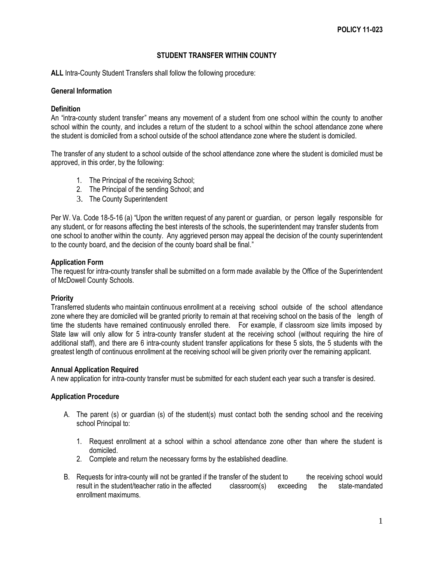# **STUDENT TRANSFER WITHIN COUNTY**

**ALL** Intra-County Student Transfers shall follow the following procedure:

## **General Information**

## **Definition**

An "intra-county student transfer" means any movement of a student from one school within the county to another school within the county, and includes a return of the student to a school within the school attendance zone where the student is domiciled from a school outside of the school attendance zone where the student is domiciled.

The transfer of any student to a school outside of the school attendance zone where the student is domiciled must be approved, in this order, by the following:

- 1. The Principal of the receiving School;
- 2. The Principal of the sending School; and
- 3. The County Superintendent

Per W. Va. Code 18-5-16 (a) "Upon the written request of any parent or guardian, or person legally responsible for any student, or for reasons affecting the best interests of the schools, the superintendent may transfer students from one school to another within the county. Any aggrieved person may appeal the decision of the county superintendent to the county board, and the decision of the county board shall be final."

#### **Application Form**

The request for intra-county transfer shall be submitted on a form made available by the Office of the Superintendent of McDowell County Schools.

#### **Priority**

Transferred students who maintain continuous enrollment at a receiving school outside of the school attendance zone where they are domiciled will be granted priority to remain at that receiving school on the basis of the length of time the students have remained continuously enrolled there. For example, if classroom size limits imposed by State law will only allow for 5 intra-county transfer student at the receiving school (without requiring the hire of additional staff), and there are 6 intra-county student transfer applications for these 5 slots, the 5 students with the greatest length of continuous enrollment at the receiving school will be given priority over the remaining applicant.

#### **Annual Application Required**

A new application for intra-county transfer must be submitted for each student each year such a transfer is desired.

## **Application Procedure**

- A. The parent (s) or guardian (s) of the student(s) must contact both the sending school and the receiving school Principal to:
	- 1. Request enrollment at a school within a school attendance zone other than where the student is domiciled.
	- 2. Complete and return the necessary forms by the established deadline.
- B. Requests for intra-county will not be granted if the transfer of the student to the receiving school would result in the student/teacher ratio in the affected classroom(s) exceeding the state-mandated enrollment maximums.